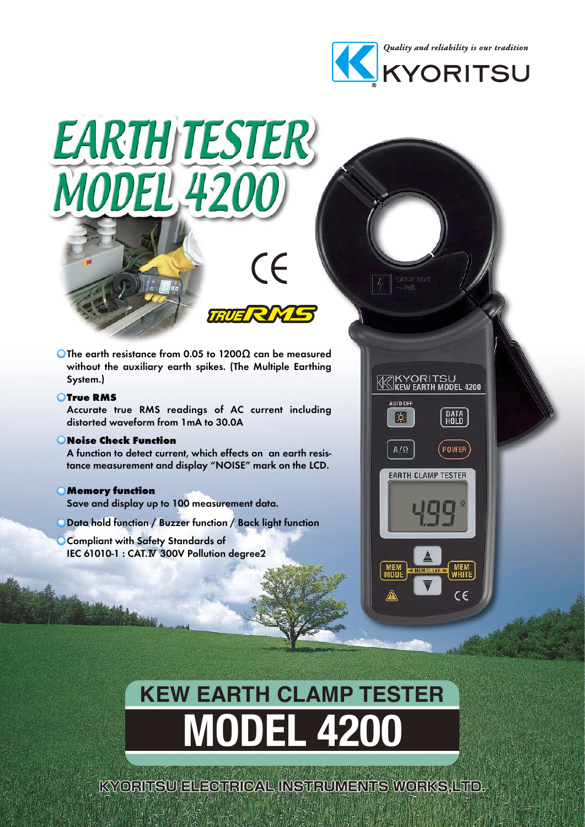

**KYORITSU**<br>**K**KEW EARTH MODEL 4200

**EARTH CLAMP TESTER** 

**DATA**<br>HOLD

POWER

AUTO OFF

 $\left\lceil \phi \right\rceil$ 

 $A/\Omega$ 

# EARTH TESTER<br>MODEL 4200

The earth resistance from 0.05 to 1200 $\Omega$  can be measured without the auxiliary earth spikes. (The Multiple Earthing System.)

 $\epsilon$ 

**TRUE RI** 

#### **QTrue RMS**

Accurate true RMS readings of AC current including distorted waveform from 1mA to 30.0A

#### **Check Function**

tance measurement and display "NOISE" mark on the LCD. A function to detect current, which effects on an earth resis-

#### **C**Memory function

Save and display up to 100 measurement data.

- O Data hold function / Buzzer function / Back light function
- **O Compliant with Safety Standards of** IEC 61010-1 : CAT.IV 300V Pollution degree2

# **MODEL 4200 KEW EARTH CLAMP TESTER**

KYORITSU ELECTRICAL INSTRUMENTS WORKS,LTD.